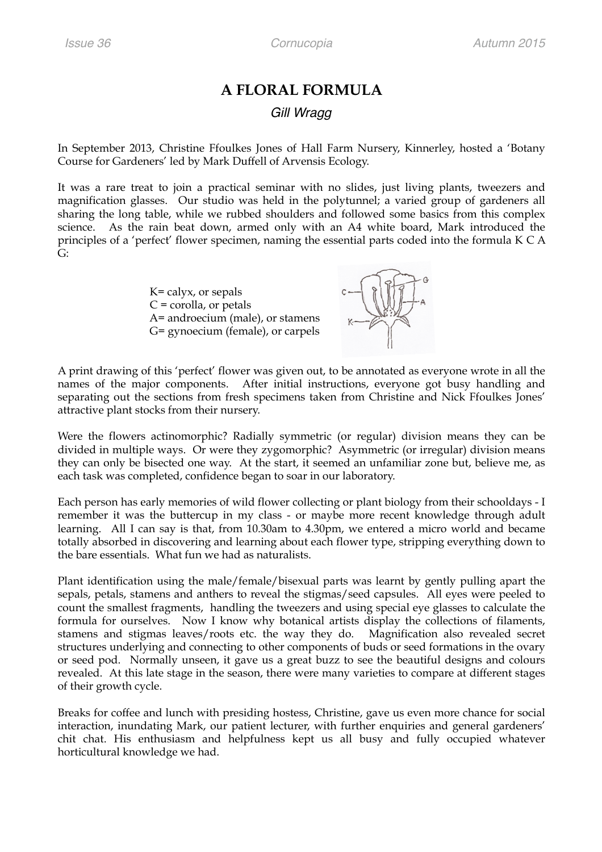## **A FLORAL FORMULA**  *Gill Wragg*

In September 2013, Christine Ffoulkes Jones of Hall Farm Nursery, Kinnerley, hosted a 'Botany Course for Gardeners' led by Mark Duffell of Arvensis Ecology.

It was a rare treat to join a practical seminar with no slides, just living plants, tweezers and magnification glasses. Our studio was held in the polytunnel; a varied group of gardeners all sharing the long table, while we rubbed shoulders and followed some basics from this complex science. As the rain beat down, armed only with an A4 white board, Mark introduced the principles of a 'perfect' flower specimen, naming the essential parts coded into the formula K C A  $G^{\cdot}$ 

> K= calyx, or sepals  $C = corolla$ , or petals A= androecium (male), or stamens G= gynoecium (female), or carpels



A print drawing of this 'perfect' flower was given out, to be annotated as everyone wrote in all the names of the major components. After initial instructions, everyone got busy handling and separating out the sections from fresh specimens taken from Christine and Nick Ffoulkes Jones' attractive plant stocks from their nursery.

Were the flowers actinomorphic? Radially symmetric (or regular) division means they can be divided in multiple ways. Or were they zygomorphic? Asymmetric (or irregular) division means they can only be bisected one way. At the start, it seemed an unfamiliar zone but, believe me, as each task was completed, confidence began to soar in our laboratory.

Each person has early memories of wild flower collecting or plant biology from their schooldays - I remember it was the buttercup in my class - or maybe more recent knowledge through adult learning. All I can say is that, from 10.30am to 4.30pm, we entered a micro world and became totally absorbed in discovering and learning about each flower type, stripping everything down to the bare essentials. What fun we had as naturalists.

Plant identification using the male/female/bisexual parts was learnt by gently pulling apart the sepals, petals, stamens and anthers to reveal the stigmas/seed capsules. All eyes were peeled to count the smallest fragments, handling the tweezers and using special eye glasses to calculate the formula for ourselves. Now I know why botanical artists display the collections of filaments, stamens and stigmas leaves/roots etc. the way they do. Magnification also revealed secret structures underlying and connecting to other components of buds or seed formations in the ovary or seed pod. Normally unseen, it gave us a great buzz to see the beautiful designs and colours revealed. At this late stage in the season, there were many varieties to compare at different stages of their growth cycle.

Breaks for coffee and lunch with presiding hostess, Christine, gave us even more chance for social interaction, inundating Mark, our patient lecturer, with further enquiries and general gardeners' chit chat. His enthusiasm and helpfulness kept us all busy and fully occupied whatever horticultural knowledge we had.